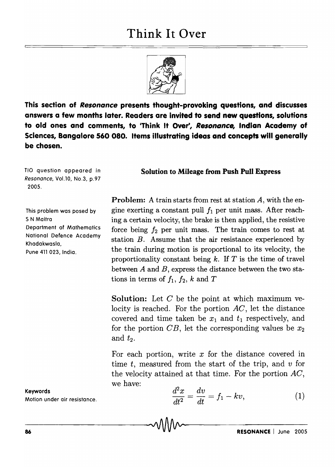## **Think It Over**



**This section of** *Resonance* **presents thought-provoking questions, and discusses answers a few months later. Readers are Invited to send new questions, solutions to old ones and comments, to 'Think It Over', Resonance, Indian Academy of Sciences, Bangalore 560 080. Items illustrating ideas and concepts will generally be chosen.** 

TIO question appeared in Resonance, Vo1.10, No.3, p.97 2005.

This problem was posed by S N Maitra Department of Mathematics National Defence Academy Khadakwasla, Pune 411 023, India.

**Solution to Mileage from Push Pull Express** 

**Problem:** A train starts from rest at station A, with the engine exerting a constant pull  $f_1$  per unit mass. After reaching a certain velocity, the brake is then applied, the resistive force being  $f_2$  per unit mass. The train comes to rest at station *B.* Assume that the air resistance experienced by the train during motion is proportional to its velocity, the proportionality constant being *k.* If *T* is the time of travel between *A* and *B,* express the distance between the two stations in terms of  $f_1$ ,  $f_2$ ,  $k$  and  $T$ 

**Solution:** Let *C* be the point at which maximum velocity is reached. For the portion *AC,* let the distance covered and time taken be  $x_1$  and  $t_1$  respectively, and for the portion  $CB$ , let the corresponding values be  $x_2$ and  $t_2$ .

For each portion, write  $x$  for the distance covered in time *t,* measured from the start of the trip, and *v* for the velocity attained at that time. For the portion *AC,*  we have:

**Keywords**  Motion under air resistance.

$$
\frac{d^2x}{dt^2} = \frac{dv}{dt} = f_1 - kv,
$$
\n(1)